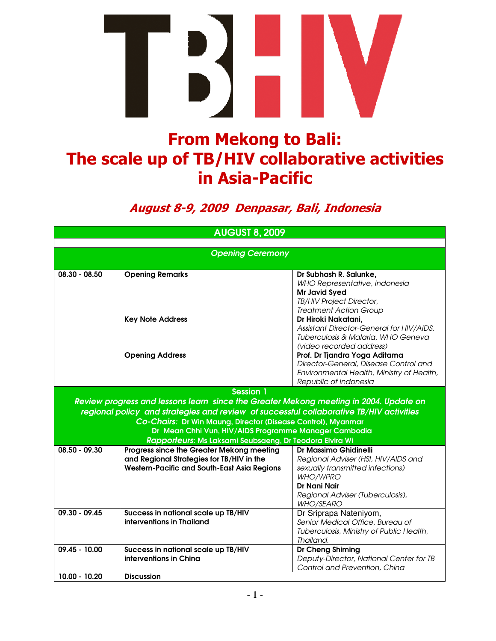

## From Mekong to Bali: The scale up of TB/HIV collaborative activities in Asia-Pacific

## August 8-9, 2009 Denpasar, Bali, Indonesia

| <b>AUGUST 8, 2009</b>   |                                                                                         |                                                      |  |  |  |  |
|-------------------------|-----------------------------------------------------------------------------------------|------------------------------------------------------|--|--|--|--|
|                         |                                                                                         |                                                      |  |  |  |  |
| <b>Opening Ceremony</b> |                                                                                         |                                                      |  |  |  |  |
| $08.30 - 08.50$         | <b>Opening Remarks</b>                                                                  | Dr Subhash R. Salunke,                               |  |  |  |  |
|                         |                                                                                         | WHO Representative, Indonesia                        |  |  |  |  |
|                         |                                                                                         | <b>Mr Javid Syed</b>                                 |  |  |  |  |
|                         |                                                                                         | TB/HIV Project Director,                             |  |  |  |  |
|                         |                                                                                         | <b>Treatment Action Group</b><br>Dr Hiroki Nakatani, |  |  |  |  |
|                         | <b>Key Note Address</b>                                                                 | Assistant Director-General for HIV/AIDS,             |  |  |  |  |
|                         |                                                                                         | Tuberculosis & Malaria, WHO Geneva                   |  |  |  |  |
|                         |                                                                                         | (video recorded address)                             |  |  |  |  |
|                         | <b>Opening Address</b>                                                                  | Prof. Dr Tjandra Yoga Aditama                        |  |  |  |  |
|                         |                                                                                         | Director-General, Disease Control and                |  |  |  |  |
|                         |                                                                                         | Environmental Health, Ministry of Health,            |  |  |  |  |
|                         |                                                                                         | Republic of Indonesia                                |  |  |  |  |
|                         | <b>Session 1</b>                                                                        |                                                      |  |  |  |  |
|                         | Review progress and lessons learn since the Greater Mekong meeting in 2004. Update on   |                                                      |  |  |  |  |
|                         | regional policy and strategies and review of successful collaborative TB/HIV activities |                                                      |  |  |  |  |
|                         | Co-Chairs: Dr Win Maung, Director (Disease Control), Myanmar                            |                                                      |  |  |  |  |
|                         | Dr Mean Chhi Vun, HIV/AIDS Programme Manager Cambodia                                   |                                                      |  |  |  |  |
|                         | Rapporteurs: Ms Laksami Seubsaeng, Dr Teodora Elvira Wi                                 |                                                      |  |  |  |  |
| $08.50 - 09.30$         | Progress since the Greater Mekong meeting                                               | Dr Massimo Ghidinelli                                |  |  |  |  |
|                         | and Regional Strategies for TB/HIV in the                                               | Regional Adviser (HSI, HIV/AIDS and                  |  |  |  |  |
|                         | <b>Western-Pacific and South-East Asia Regions</b>                                      | sexually transmitted infections)<br>WHO/WPRO         |  |  |  |  |
|                         |                                                                                         | Dr Nani Nair                                         |  |  |  |  |
|                         |                                                                                         | Regional Adviser (Tuberculosis),                     |  |  |  |  |
|                         |                                                                                         | <b>WHO/SEARO</b>                                     |  |  |  |  |
| $09.30 - 09.45$         | Success in national scale up TB/HIV                                                     | Dr Sriprapa Nateniyom,                               |  |  |  |  |
|                         | interventions in Thailand                                                               | Senior Medical Office, Bureau of                     |  |  |  |  |
|                         |                                                                                         | Tuberculosis, Ministry of Public Health,             |  |  |  |  |
|                         |                                                                                         | Thailand.                                            |  |  |  |  |
| $09.45 - 10.00$         | Success in national scale up TB/HIV                                                     | Dr Cheng Shiming                                     |  |  |  |  |
|                         | interventions in China                                                                  | Deputy-Director, National Center for TB              |  |  |  |  |
| 10.00 - 10.20           |                                                                                         | Control and Prevention, China                        |  |  |  |  |
|                         | <b>Discussion</b>                                                                       |                                                      |  |  |  |  |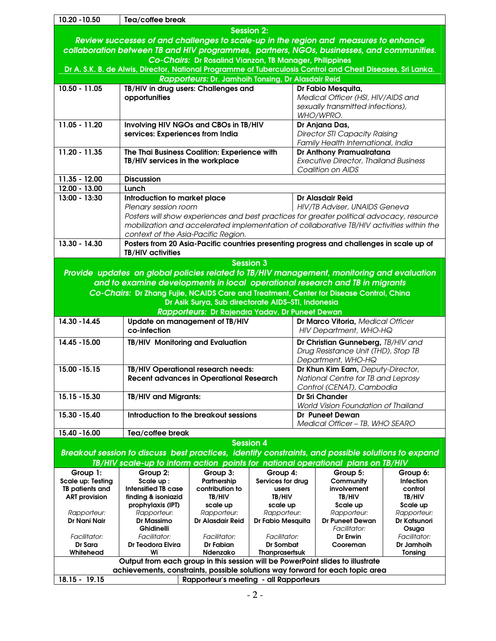| 10.20 - 10.50                                                                                               | Tea/coffee break                                                                                   |                                                    |                                  |                                     |                                                                                           |                              |  |
|-------------------------------------------------------------------------------------------------------------|----------------------------------------------------------------------------------------------------|----------------------------------------------------|----------------------------------|-------------------------------------|-------------------------------------------------------------------------------------------|------------------------------|--|
|                                                                                                             |                                                                                                    |                                                    | <b>Session 2:</b>                |                                     |                                                                                           |                              |  |
|                                                                                                             | Review successes of and challenges to scale-up in the region and measures to enhance               |                                                    |                                  |                                     |                                                                                           |                              |  |
| collaboration between TB and HIV programmes, partners, NGOs, businesses, and communities.                   |                                                                                                    |                                                    |                                  |                                     |                                                                                           |                              |  |
| Co-Chairs: Dr Rosalind Vianzon, TB Manager, Philippines                                                     |                                                                                                    |                                                    |                                  |                                     |                                                                                           |                              |  |
| Dr A. S.K. B. de Alwis, Director, National Programme of Tuberculosis Control and Chest Diseases, Sri Lanka. |                                                                                                    |                                                    |                                  |                                     |                                                                                           |                              |  |
|                                                                                                             |                                                                                                    | Rapporteurs: Dr. Jamhoih Tonsing, Dr Alasdair Reid |                                  |                                     |                                                                                           |                              |  |
| $10.50 - 11.05$                                                                                             | TB/HIV in drug users: Challenges and                                                               |                                                    |                                  |                                     | Dr Fabio Mesquita,                                                                        |                              |  |
|                                                                                                             | opportunities                                                                                      |                                                    |                                  |                                     | Medical Officer (HSI, HIV/AIDS and                                                        |                              |  |
|                                                                                                             |                                                                                                    |                                                    |                                  |                                     | sexually transmitted infections),                                                         |                              |  |
|                                                                                                             |                                                                                                    |                                                    |                                  |                                     | WHO/WPRO.                                                                                 |                              |  |
| 11.05 - 11.20                                                                                               | Involving HIV NGOs and CBOs in TB/HIV                                                              |                                                    |                                  |                                     | Dr Anjana Das,                                                                            |                              |  |
|                                                                                                             | services: Experiences from India                                                                   |                                                    |                                  |                                     | <b>Director STI Capacity Raising</b>                                                      |                              |  |
| $11.20 - 11.35$                                                                                             |                                                                                                    |                                                    |                                  |                                     | Family Health International, India                                                        |                              |  |
|                                                                                                             | The Thai Business Coalition: Experience with<br>TB/HIV services in the workplace                   |                                                    |                                  |                                     | Dr Anthony Pramualratana<br><b>Executive Director, Thailand Business</b>                  |                              |  |
|                                                                                                             |                                                                                                    |                                                    |                                  |                                     | Coalition on AIDS                                                                         |                              |  |
| 11.35 - 12.00                                                                                               | <b>Discussion</b>                                                                                  |                                                    |                                  |                                     |                                                                                           |                              |  |
| 12.00 - 13.00                                                                                               | Lunch                                                                                              |                                                    |                                  |                                     |                                                                                           |                              |  |
| 13:00 - 13:30                                                                                               | Introduction to market place                                                                       |                                                    |                                  |                                     | <b>Dr Alasdair Reid</b>                                                                   |                              |  |
|                                                                                                             | Plenary session room                                                                               |                                                    |                                  | HIV/TB Adviser, UNAIDS Geneva       |                                                                                           |                              |  |
|                                                                                                             |                                                                                                    |                                                    |                                  |                                     | Posters will show experiences and best practices for greater political advocacy, resource |                              |  |
|                                                                                                             |                                                                                                    |                                                    |                                  |                                     | mobilization and accelerated implementation of collaborative TB/HIV activities within the |                              |  |
|                                                                                                             | context of the Asia-Pacific Region.                                                                |                                                    |                                  |                                     |                                                                                           |                              |  |
| $13.30 - 14.30$                                                                                             |                                                                                                    |                                                    |                                  |                                     | Posters from 20 Asia-Pacific countries presenting progress and challenges in scale up of  |                              |  |
|                                                                                                             | <b>TB/HIV activities</b>                                                                           |                                                    |                                  |                                     |                                                                                           |                              |  |
|                                                                                                             |                                                                                                    |                                                    | <b>Session 3</b>                 |                                     |                                                                                           |                              |  |
|                                                                                                             | Provide updates on global policies related to TB/HIV management, monitoring and evaluation         |                                                    |                                  |                                     |                                                                                           |                              |  |
|                                                                                                             | and to examine developments in local operational research and TB in migrants                       |                                                    |                                  |                                     |                                                                                           |                              |  |
|                                                                                                             | Co-Chairs: Dr Zhang Fujie, NCAIDS Care and Treatment, Center for Disease Control, China            |                                                    |                                  |                                     |                                                                                           |                              |  |
|                                                                                                             |                                                                                                    | Dr Asik Surya, Sub directorate AIDS-STI, Indonesia |                                  |                                     |                                                                                           |                              |  |
|                                                                                                             |                                                                                                    | Rapporteurs: Dr Rajendra Yadav, Dr Puneet Dewan    |                                  |                                     |                                                                                           |                              |  |
| 14.30 - 14.45                                                                                               | Update on management of TB/HIV                                                                     |                                                    |                                  | Dr Marco Vitoria, Medical Officer   |                                                                                           |                              |  |
|                                                                                                             | co-infection                                                                                       |                                                    |                                  | HIV Department, WHO-HQ              |                                                                                           |                              |  |
| 14.45 - 15.00                                                                                               | TB/HIV Monitoring and Evaluation                                                                   |                                                    |                                  | Dr Christian Gunneberg, TB/HIV and  |                                                                                           |                              |  |
|                                                                                                             |                                                                                                    |                                                    |                                  |                                     | Drug Resistance Unit (THD), Stop TB                                                       |                              |  |
|                                                                                                             |                                                                                                    |                                                    |                                  |                                     | Department, WHO-HQ                                                                        |                              |  |
| 15.00 - 15.15                                                                                               | TB/HIV Operational research needs:                                                                 |                                                    |                                  |                                     | Dr Khun Kim Eam, Deputy-Director,                                                         |                              |  |
|                                                                                                             | <b>Recent advances in Operational Research</b>                                                     |                                                    |                                  | National Centre for TB and Leprosy  |                                                                                           |                              |  |
|                                                                                                             |                                                                                                    |                                                    |                                  | Control (CENAT), Cambodia           |                                                                                           |                              |  |
| 15.15 - 15.30                                                                                               | TB/HIV and Migrants:                                                                               |                                                    |                                  |                                     | <b>Dr Sri Chander</b>                                                                     |                              |  |
|                                                                                                             |                                                                                                    |                                                    |                                  | World Vision Foundation of Thailand |                                                                                           |                              |  |
| 15.30 - 15.40                                                                                               | Introduction to the breakout sessions                                                              |                                                    |                                  | <b>Dr Puneet Dewan</b>              |                                                                                           |                              |  |
| 15.40 - 16.00                                                                                               | Medical Officer - TB, WHO SEARO                                                                    |                                                    |                                  |                                     |                                                                                           |                              |  |
|                                                                                                             | Tea/coffee break                                                                                   |                                                    | <b>Session 4</b>                 |                                     |                                                                                           |                              |  |
|                                                                                                             |                                                                                                    |                                                    |                                  |                                     |                                                                                           |                              |  |
|                                                                                                             | Breakout session to discuss best practices, identify constraints, and possible solutions to expand |                                                    |                                  |                                     |                                                                                           |                              |  |
|                                                                                                             | TB/HIV scale-up to inform action points for national operational plans on TB/HIV                   |                                                    |                                  |                                     |                                                                                           |                              |  |
| Group 1:<br><b>Scale up: Testing</b>                                                                        | Group 2:<br>Scale up:                                                                              | Group 3:<br>Partnership                            | Group 4:<br>Services for drug    |                                     | Group 5:<br>Community                                                                     | Group 6:<br><b>Infection</b> |  |
| TB patients and                                                                                             | <b>Intensified TB case</b>                                                                         | contribution to                                    | users                            |                                     | involvement                                                                               | control                      |  |
| <b>ART provision</b>                                                                                        | finding & isoniazid                                                                                | TB/HIV                                             | TB/HIV                           |                                     | TB/HIV                                                                                    | TB/HIV                       |  |
|                                                                                                             | prophylaxis (IPT)                                                                                  | scale up                                           | scale up                         |                                     | Scale up                                                                                  | Scale up                     |  |
| Rapporteur:                                                                                                 | Rapporteur:                                                                                        | Rapporteur:                                        | Rapporteur:                      |                                     | Rapporteur:                                                                               | Rapporteur:                  |  |
| Dr Nani Nair                                                                                                | Dr Massimo<br><b>Ghidinelli</b>                                                                    | <b>Dr Alasdair Reid</b>                            | Dr Fabio Mesquita                |                                     | <b>Dr Puneet Dewan</b><br>Facilitator:                                                    | Dr Katsunori<br>Osuga        |  |
| Facilitator:                                                                                                | Facilitator:                                                                                       | <b>Facilitator:</b>                                | <b>Facilitator:</b>              |                                     | Dr Erwin                                                                                  | Facilitator:                 |  |
| Dr Sara                                                                                                     | Dr Teodora Elvira                                                                                  | Dr Fabian                                          | Dr Sombat                        |                                     | Cooreman                                                                                  | Dr Jamhoih                   |  |
| Whitehead                                                                                                   | Wi                                                                                                 | Ndenzako                                           | <b>Thanprasertsuk</b><br>Tonsing |                                     |                                                                                           |                              |  |
| Output from each group in this session will be PowerPoint slides to illustrate                              |                                                                                                    |                                                    |                                  |                                     |                                                                                           |                              |  |
| achievements, constraints, possible solutions way forward for each topic area                               |                                                                                                    |                                                    |                                  |                                     |                                                                                           |                              |  |
| 18.15 - 19.15<br>Rapporteur's meeting - all Rapporteurs                                                     |                                                                                                    |                                                    |                                  |                                     |                                                                                           |                              |  |